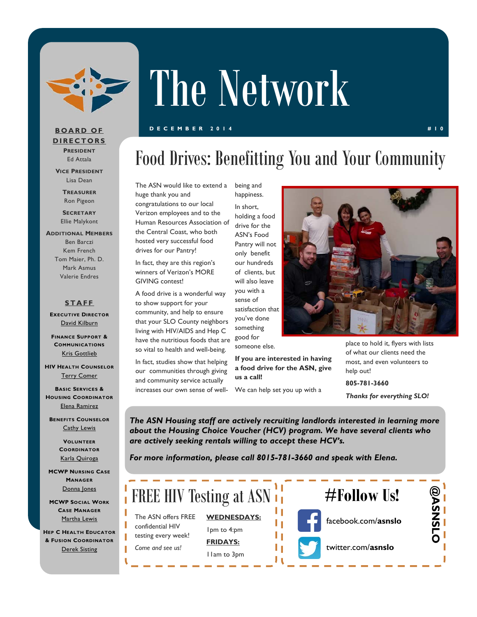

# The Network

#### **DECEMBER 2014 #10**

### Food Drives: Benefitting You and Your Community

The ASN would like to extend a huge thank you and congratulations to our local Verizon employees and to the Human Resources Association of the Central Coast, who both hosted very successful food drives for our Pantry!

In fact, they are this region's winners of Verizon's MORE GIVING contest!

A food drive is a wonderful way to show support for your community, and help to ensure that your SLO County neighbors living with HIV/AIDS and Hep C have the nutritious foods that are so vital to health and well-being.

In fact, studies show that helping our communities through giving and community service actually increases our own sense of well-

being and happiness.

In short, holding a food drive for the ASN's Food Pantry will not only benefit our hundreds of clients, but will also leave you with a sense of satisfaction that you've done something good for

someone else.

**If you are interested in having a food drive for the ASN, give us a call!** 

We can help set you up with a

place to hold it, flyers with lists of what our clients need the most, and even volunteers to help out!

**805-781-3660**  *Thanks for everything SLO!* 

*The ASN Housing staff are actively recruiting landlords interested in learning more about the Housing Choice Voucher (HCV) program. We have several clients who are actively seeking rentals willing to accept these HCV's.* 

*For more information, please call 8015-781-3660 and speak with Elena.* 



**BOARD OF DIRECTORS PRESIDENT** Ed Attala

**VICE PRESIDENT** Lisa Dean

> **TREASURER** Ron Pigeon

**SECRETARY** Ellie Malykont

**ADDITIONAL MEMBERS** Ben Barczi Kem French Tom Maier, Ph. D. Mark Asmus Valerie Endres

#### **STAFF**

**EXECUTIVE DIRECTOR** David Kilburn

**FINANCE SUPPORT & COMMUNICATIONS** Kris Gottlieb

**HIV HEALTH COUNSELOR** Terry Comer

**BASIC SERVICES & HOUSING COORDINATOR** Elena Ramirez

**BENEFITS COUNSELOR** Cathy Lewis

> **VOLUNTEER COORDINATOR** Karla Quiroga

**MCWP NURSING CASE MANAGER** Donna Jones

**MCWP SOCIAL WORK CASE MANAGER** Martha Lewis

**HEP C HEALTH EDUCATOR & FUSION COORDINATOR** Derek Sisting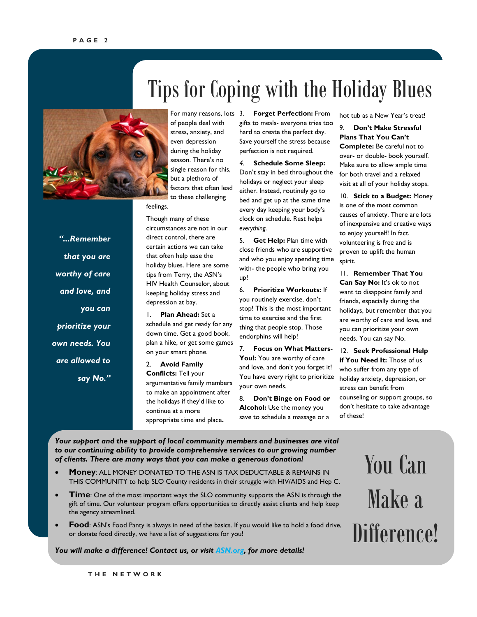### Tips for Coping with the Holiday Blues



*"...Remember* 

*that you are* 

*worthy of care* 

*and love, and* 

*prioritize your* 

*own needs. You* 

*are allowed to* 

*say No."* 

*you can* 

of people deal with stress, anxiety, and even depression during the holiday season. There's no single reason for this, but a plethora of factors that often lead to these challenging

feelings.

Though many of these circumstances are not in our direct control, there are certain actions we can take that often help ease the holiday blues. Here are some tips from Terry, the ASN's HIV Health Counselor, about keeping holiday stress and depression at bay.

1. **Plan Ahead:** Set a schedule and get ready for any down time. Get a good book, plan a hike, or get some games on your smart phone.

2. **Avoid Family Conflicts:** Tell your argumentative family members to make an appointment after the holidays if they'd like to continue at a more appropriate time and place**.**

For many reasons, lots 3. Forget Perfection: From gifts to meals- everyone tries too hard to create the perfect day. Save yourself the stress because perfection is not required.

> *4.* **Schedule Some Sleep:**  Don't stay in bed throughout the holidays or neglect your sleep either. Instead, routinely go to bed and get up at the same time every day keeping your body's clock on schedule. Rest helps *everything.*

5. **Get Help:** Plan time with close friends who are supportive and who you enjoy spending time with- the people who bring you up!

6. **Prioritize Workouts:** If you routinely exercise, don't stop! This is the most important time to exercise and the first thing that people stop. Those endorphins will help!

7. **Focus on What Matters-**You!: You are worthy of care and love, and don't you forget it! You have every right to prioritize your own needs.

8. **Don't Binge on Food or Alcohol:** Use the money you save to schedule a massage or a

hot tub as a New Year's treat!

9. **Don't Make Stressful Plans That You Can't Complete:** Be careful not to over- or double- book yourself. Make sure to allow ample time for both travel and a relaxed visit at all of your holiday stops.

10. **Stick to a Budget:** Money is one of the most common causes of anxiety. There are lots of inexpensive and creative ways to enjoy yourself! In fact, volunteering is free and is proven to uplift the human spirit.

11. **Remember That You Can Say No:** It's ok to not want to disappoint family and friends, especially during the holidays, but remember that you are worthy of care and love, and you can prioritize your own needs. You can say No.

12. **Seek Professional Help if You Need It:** Those of us who suffer from any type of holiday anxiety, depression, or stress can benefit from counseling or support groups, so don't hesitate to take advantage of these!

*Your support and the support of local community members and businesses are vital to our continuing ability to provide comprehensive services to our growing number of clients. There are many ways that you can make a generous donation!* 

- **Money**: ALL MONEY DONATED TO THE ASN IS TAX DEDUCTABLE & REMAINS IN THIS COMMUNITY to help SLO County residents in their struggle with HIV/AIDS and Hep C.
- **Time**: One of the most important ways the SLO community supports the ASN is through the gift of time. Our volunteer program offers opportunities to directly assist clients and help keep the agency streamlined.
- **Food**: ASN's Food Panty is always in need of the basics. If you would like to hold a food drive, or donate food directly, we have a list of suggestions for you!

*You will make a difference! Contact us, or visit ASN.org, for more details!* 

You Can Make a Difference!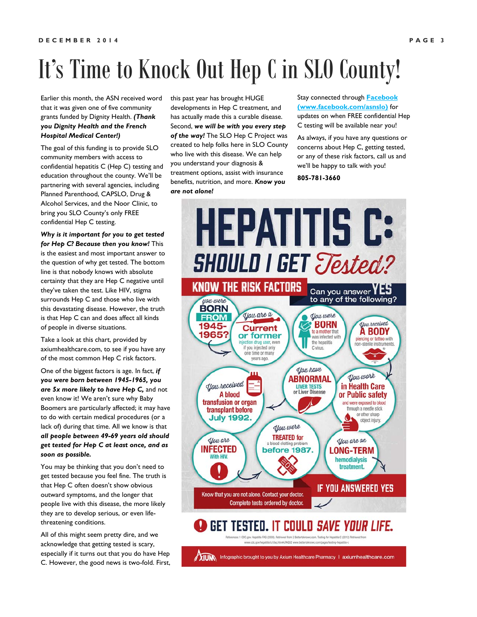## It's Time to Knock Out Hep C in SLO County!

Earlier this month, the ASN received word that it was given one of five community grants funded by Dignity Health. *(Thank you Dignity Health and the French Hospital Medical Center!)*

The goal of this funding is to provide SLO community members with access to confidential hepatitis C (Hep C) testing and education throughout the county. We'll be partnering with several agencies, including Planned Parenthood, CAPSLO, Drug & Alcohol Services, and the Noor Clinic, to bring you SLO County's only FREE confidential Hep C testing.

*Why is it important for you to get tested for Hep C? Because then you know!* This is the easiest and most important answer to the question of why get tested. The bottom line is that nobody knows with absolute certainty that they are Hep C negative until they've taken the test. Like HIV, stigma surrounds Hep C and those who live with this devastating disease. However, the truth is that Hep C can and does affect all kinds of people in diverse situations.

Take a look at this chart, provided by axiumhealthcare.com, to see if you have any of the most common Hep C risk factors.

One of the biggest factors is age. In fact, *if you were born between 1945-1965, you are 5x more likely to have Hep C,* and not even know it! We aren't sure why Baby Boomers are particularly affected; it may have to do with certain medical procedures (or a lack of) during that time. All we know is that *all people between 49-69 years old should get tested for Hep C at least once, and as soon as possible.* 

You may be thinking that you don't need to get tested because you feel fine. The truth is that Hep C often doesn't show obvious outward symptoms, and the longer that people live with this disease, the more likely they are to develop serious, or even lifethreatening conditions.

All of this might seem pretty dire, and we acknowledge that getting tested is scary, especially if it turns out that you do have Hep C. However, the good news is two-fold. First,

this past year has brought HUGE developments in Hep C treatment, and has actually made this a curable disease. Second, *we will be with you every step of the way!* The SLO Hep C Project was created to help folks here in SLO County who live with this disease. We can help you understand your diagnosis & treatment options, assist with insurance benefits, nutrition, and more. *Know you are not alone!* 

Stay connected through **Facebook (www.facebook.com/asnslo)** for updates on when FREE confidential Hep C testing will be available near you!

As always, if you have any questions or concerns about Hep C, getting tested, or any of these risk factors, call us and we'll be happy to talk with you!

**805-781-3660**